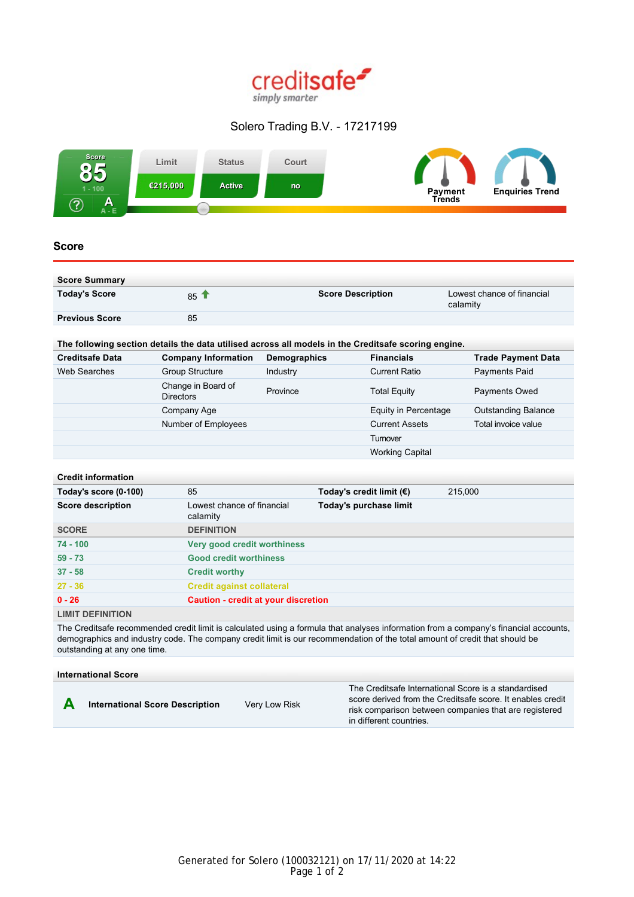

# Solero Trading B.V. - 17217199



# **Score**

| <b>Score Summary</b>  |                 |                          |                                        |
|-----------------------|-----------------|--------------------------|----------------------------------------|
| <b>Today's Score</b>  | 85 <sup>4</sup> | <b>Score Description</b> | Lowest chance of financial<br>calamity |
| <b>Previous Score</b> | 85              |                          |                                        |

# **The following section details the data utilised across all models in the Creditsafe scoring engine.**

| <b>Creditsafe Data</b> | <b>Company Information</b>             | Demographics | <b>Financials</b>      | <b>Trade Payment Data</b>  |
|------------------------|----------------------------------------|--------------|------------------------|----------------------------|
| Web Searches           | <b>Group Structure</b>                 | Industry     | <b>Current Ratio</b>   | Payments Paid              |
|                        | Change in Board of<br><b>Directors</b> | Province     | <b>Total Equity</b>    | Payments Owed              |
|                        | Company Age                            |              | Equity in Percentage   | <b>Outstanding Balance</b> |
|                        | Number of Employees                    |              | <b>Current Assets</b>  | Total invoice value        |
|                        |                                        |              | Tumover                |                            |
|                        |                                        |              | <b>Working Capital</b> |                            |

#### **Credit information**

| Today's score (0-100)    | 85                                         | Today's credit limit $(€)$ | 215,000 |
|--------------------------|--------------------------------------------|----------------------------|---------|
| <b>Score description</b> | Lowest chance of financial<br>calamity     | Today's purchase limit     |         |
| <b>SCORE</b>             | <b>DEFINITION</b>                          |                            |         |
| $74 - 100$               | Very good credit worthiness                |                            |         |
| $59 - 73$                | <b>Good credit worthiness</b>              |                            |         |
| $37 - 58$                | <b>Credit worthy</b>                       |                            |         |
| $27 - 36$                | <b>Credit against collateral</b>           |                            |         |
| $0 - 26$                 | <b>Caution - credit at your discretion</b> |                            |         |
| <b>LIMIT DEFINITION</b>  |                                            |                            |         |

The Creditsafe recommended credit limit is calculated using a formula that analyses information from a company's financial accounts, demographics and industry code. The company credit limit is our recommendation of the total amount of credit that should be outstanding at any one time.

### **International Score**



**A International Score Description** Very Low Risk

The Creditsafe International Score is a standardised score derived from the Creditsafe score. It enables credit risk comparison between companies that are registered in different countries.